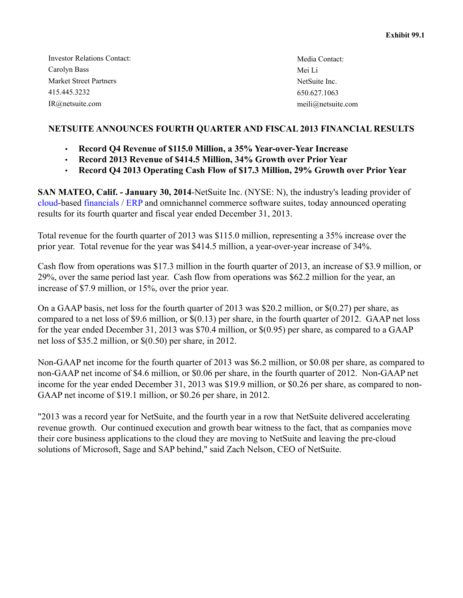Investor Relations Contact: Media Contact: Media Contact: Carolyn Bass Mei Li Market Street Partners NetSuite Inc. 415.445.3232 650.627.1063 IR@netsuite.com meili@netsuite.com

# **NETSUITE ANNOUNCES FOURTH QUARTER AND FISCAL 2013 FINANCIAL RESULTS**

- **Record Q4 Revenue of \$115.0 Million, a 35% Year-over-Year Increase**
- **Record 2013 Revenue of \$414.5 Million, 34% Growth over Prior Year**
- **Record Q4 2013 Operating Cash Flow of \$17.3 Million, 29% Growth over Prior Year**

**SAN MATEO, Calif. - January 30, 2014**-NetSuite Inc. (NYSE: N), the industry's leading provider of cloud-based financials / ERP and omnichannel commerce software suites, today announced operating results for its fourth quarter and fiscal year ended December 31, 2013.

Total revenue for the fourth quarter of 2013 was \$115.0 million, representing a 35% increase over the prior year. Total revenue for the year was \$414.5 million, a year-over-year increase of 34%.

Cash flow from operations was \$17.3 million in the fourth quarter of 2013, an increase of \$3.9 million, or 29%, over the same period last year. Cash flow from operations was \$62.2 million for the year, an increase of \$7.9 million, or 15%, over the prior year.

On a GAAP basis, net loss for the fourth quarter of 2013 was \$20.2 million, or \$(0.27) per share, as compared to a net loss of \$9.6 million, or \$(0.13) per share, in the fourth quarter of 2012. GAAP net loss for the year ended December 31, 2013 was \$70.4 million, or \$(0.95) per share, as compared to a GAAP net loss of \$35.2 million, or \$(0.50) per share, in 2012.

Non-GAAP net income for the fourth quarter of 2013 was \$6.2 million, or \$0.08 per share, as compared to non-GAAP net income of \$4.6 million, or \$0.06 per share, in the fourth quarter of 2012. Non-GAAP net income for the year ended December 31, 2013 was \$19.9 million, or \$0.26 per share, as compared to non-GAAP net income of \$19.1 million, or \$0.26 per share, in 2012.

"2013 was a record year for NetSuite, and the fourth year in a row that NetSuite delivered accelerating revenue growth. Our continued execution and growth bear witness to the fact, that as companies move their core business applications to the cloud they are moving to NetSuite and leaving the pre-cloud solutions of Microsoft, Sage and SAP behind," said Zach Nelson, CEO of NetSuite.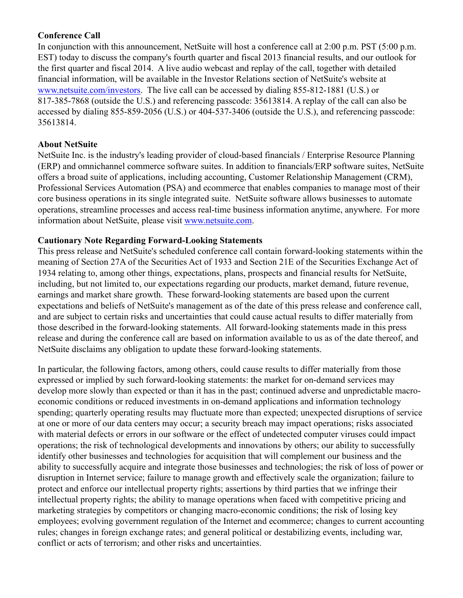# **Conference Call**

In conjunction with this announcement, NetSuite will host a conference call at 2:00 p.m. PST (5:00 p.m. EST) today to discuss the company's fourth quarter and fiscal 2013 financial results, and our outlook for the first quarter and fiscal 2014. A live audio webcast and replay of the call, together with detailed financial information, will be available in the Investor Relations section of NetSuite's website at www.netsuite.com/investors. The live call can be accessed by dialing 855-812-1881 (U.S.) or 817-385-7868 (outside the U.S.) and referencing passcode: 35613814. A replay of the call can also be accessed by dialing 855-859-2056 (U.S.) or 404-537-3406 (outside the U.S.), and referencing passcode: 35613814.

# **About NetSuite**

NetSuite Inc. is the industry's leading provider of cloud-based financials / Enterprise Resource Planning (ERP) and omnichannel commerce software suites. In addition to financials/ERP software suites, NetSuite offers a broad suite of applications, including accounting, Customer Relationship Management (CRM), Professional Services Automation (PSA) and ecommerce that enables companies to manage most of their core business operations in its single integrated suite. NetSuite software allows businesses to automate operations, streamline processes and access real-time business information anytime, anywhere. For more information about NetSuite, please visit www.netsuite.com.

# **Cautionary Note Regarding Forward-Looking Statements**

This press release and NetSuite's scheduled conference call contain forward-looking statements within the meaning of Section 27A of the Securities Act of 1933 and Section 21E of the Securities Exchange Act of 1934 relating to, among other things, expectations, plans, prospects and financial results for NetSuite, including, but not limited to, our expectations regarding our products, market demand, future revenue, earnings and market share growth. These forward-looking statements are based upon the current expectations and beliefs of NetSuite's management as of the date of this press release and conference call, and are subject to certain risks and uncertainties that could cause actual results to differ materially from those described in the forward-looking statements. All forward-looking statements made in this press release and during the conference call are based on information available to us as of the date thereof, and NetSuite disclaims any obligation to update these forward-looking statements.

In particular, the following factors, among others, could cause results to differ materially from those expressed or implied by such forward-looking statements: the market for on-demand services may develop more slowly than expected or than it has in the past; continued adverse and unpredictable macroeconomic conditions or reduced investments in on-demand applications and information technology spending; quarterly operating results may fluctuate more than expected; unexpected disruptions of service at one or more of our data centers may occur; a security breach may impact operations; risks associated with material defects or errors in our software or the effect of undetected computer viruses could impact operations; the risk of technological developments and innovations by others; our ability to successfully identify other businesses and technologies for acquisition that will complement our business and the ability to successfully acquire and integrate those businesses and technologies; the risk of loss of power or disruption in Internet service; failure to manage growth and effectively scale the organization; failure to protect and enforce our intellectual property rights; assertions by third parties that we infringe their intellectual property rights; the ability to manage operations when faced with competitive pricing and marketing strategies by competitors or changing macro-economic conditions; the risk of losing key employees; evolving government regulation of the Internet and ecommerce; changes to current accounting rules; changes in foreign exchange rates; and general political or destabilizing events, including war, conflict or acts of terrorism; and other risks and uncertainties.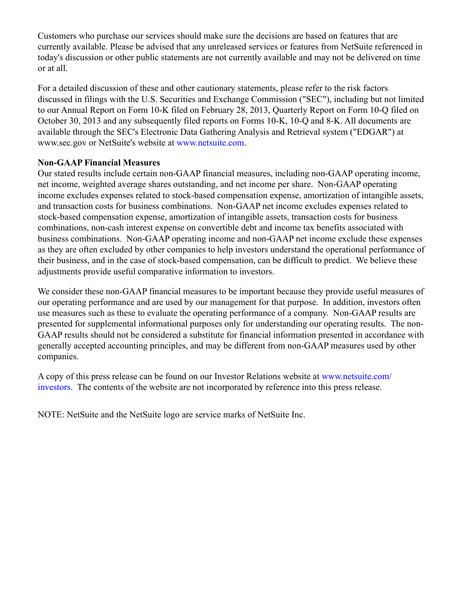Customers who purchase our services should make sure the decisions are based on features that are currently available. Please be advised that any unreleased services or features from NetSuite referenced in today's discussion or other public statements are not currently available and may not be delivered on time or at all.

For a detailed discussion of these and other cautionary statements, please refer to the risk factors discussed in filings with the U.S. Securities and Exchange Commission ("SEC"), including but not limited to our Annual Report on Form 10-K filed on February 28, 2013, Quarterly Report on Form 10-Q filed on October 30, 2013 and any subsequently filed reports on Forms 10-K, 10-Q and 8-K. All documents are available through the SEC's Electronic Data Gathering Analysis and Retrieval system ("EDGAR") at www.sec.gov or NetSuite's website at www.netsuite.com.

# **Non-GAAP Financial Measures**

Our stated results include certain non-GAAP financial measures, including non-GAAP operating income, net income, weighted average shares outstanding, and net income per share. Non-GAAP operating income excludes expenses related to stock-based compensation expense, amortization of intangible assets, and transaction costs for business combinations. Non-GAAP net income excludes expenses related to stock-based compensation expense, amortization of intangible assets, transaction costs for business combinations, non-cash interest expense on convertible debt and income tax benefits associated with business combinations. Non-GAAP operating income and non-GAAP net income exclude these expenses as they are often excluded by other companies to help investors understand the operational performance of their business, and in the case of stock-based compensation, can be difficult to predict. We believe these adjustments provide useful comparative information to investors.

We consider these non-GAAP financial measures to be important because they provide useful measures of our operating performance and are used by our management for that purpose. In addition, investors often use measures such as these to evaluate the operating performance of a company. Non-GAAP results are presented for supplemental informational purposes only for understanding our operating results. The non-GAAP results should not be considered a substitute for financial information presented in accordance with generally accepted accounting principles, and may be different from non-GAAP measures used by other companies.

A copy of this press release can be found on our Investor Relations website at www.netsuite.com/ investors. The contents of the website are not incorporated by reference into this press release.

NOTE: NetSuite and the NetSuite logo are service marks of NetSuite Inc.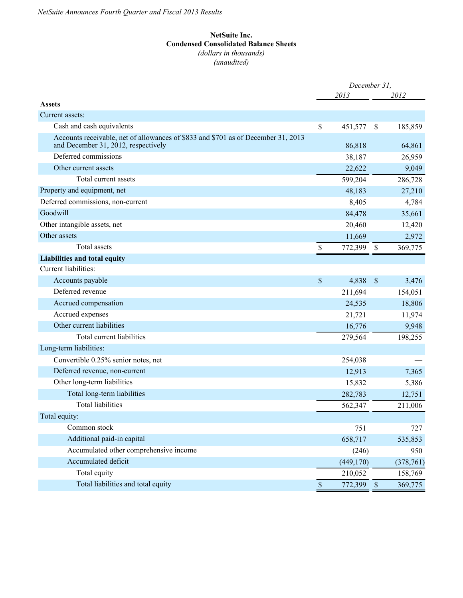### **NetSuite Inc. Condensed Consolidated Balance Sheets** *(dollars in thousands) (unaudited)*

|                                                                                                                          | December 31,              |            |              |            |  |
|--------------------------------------------------------------------------------------------------------------------------|---------------------------|------------|--------------|------------|--|
|                                                                                                                          |                           | 2013       |              | 2012       |  |
| <b>Assets</b>                                                                                                            |                           |            |              |            |  |
| Current assets:                                                                                                          |                           |            |              |            |  |
| Cash and cash equivalents                                                                                                | \$                        | 451,577    | \$           | 185,859    |  |
| Accounts receivable, net of allowances of \$833 and \$701 as of December 31, 2013<br>and December 31, 2012, respectively |                           | 86,818     |              | 64,861     |  |
| Deferred commissions                                                                                                     |                           | 38,187     |              | 26,959     |  |
| Other current assets                                                                                                     |                           | 22,622     |              | 9,049      |  |
| Total current assets                                                                                                     |                           | 599,204    |              | 286,728    |  |
| Property and equipment, net                                                                                              |                           | 48,183     |              | 27,210     |  |
| Deferred commissions, non-current                                                                                        |                           | 8,405      |              | 4,784      |  |
| Goodwill                                                                                                                 |                           | 84,478     |              | 35,661     |  |
| Other intangible assets, net                                                                                             |                           | 20,460     |              | 12,420     |  |
| Other assets                                                                                                             |                           | 11,669     |              | 2,972      |  |
| Total assets                                                                                                             | \$                        | 772,399    | \$           | 369,775    |  |
| Liabilities and total equity                                                                                             |                           |            |              |            |  |
| Current liabilities:                                                                                                     |                           |            |              |            |  |
| Accounts payable                                                                                                         | $\boldsymbol{\mathsf{S}}$ | 4,838      | $\sqrt{\ }$  | 3,476      |  |
| Deferred revenue                                                                                                         |                           | 211,694    |              | 154,051    |  |
| Accrued compensation                                                                                                     |                           | 24,535     |              | 18,806     |  |
| Accrued expenses                                                                                                         |                           | 21,721     |              | 11,974     |  |
| Other current liabilities                                                                                                |                           | 16,776     |              | 9,948      |  |
| Total current liabilities                                                                                                |                           | 279,564    |              | 198,255    |  |
| Long-term liabilities:                                                                                                   |                           |            |              |            |  |
| Convertible 0.25% senior notes, net                                                                                      |                           | 254,038    |              |            |  |
| Deferred revenue, non-current                                                                                            |                           | 12,913     |              | 7,365      |  |
| Other long-term liabilities                                                                                              |                           | 15,832     |              | 5,386      |  |
| Total long-term liabilities                                                                                              |                           | 282,783    |              | 12,751     |  |
| <b>Total liabilities</b>                                                                                                 |                           | 562,347    |              | 211,006    |  |
| Total equity:                                                                                                            |                           |            |              |            |  |
| Common stock                                                                                                             |                           | 751        |              | 727        |  |
| Additional paid-in capital                                                                                               |                           | 658,717    |              | 535,853    |  |
| Accumulated other comprehensive income                                                                                   |                           | (246)      |              | 950        |  |
| Accumulated deficit                                                                                                      |                           | (449, 170) |              | (378, 761) |  |
| Total equity                                                                                                             |                           | 210,052    |              | 158,769    |  |
| Total liabilities and total equity                                                                                       | $\mathbb S$               | 772,399    | $\mathbb{S}$ | 369,775    |  |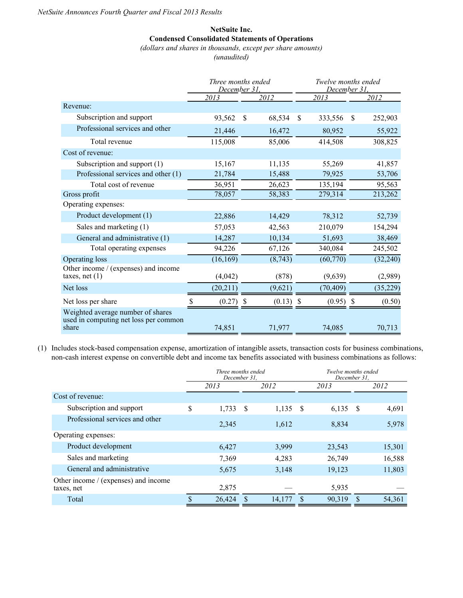*NetSuite Announces Fourth Quarter and Fiscal 2013 Results*

## **NetSuite Inc. Condensed Consolidated Statements of Operations**

*(dollars and shares in thousands, except per share amounts) (unaudited)*

|                                                                                     | <u>December 31,</u> | Three months ended  |                          | Twelve months ended<br><u>December 31,</u> |  |
|-------------------------------------------------------------------------------------|---------------------|---------------------|--------------------------|--------------------------------------------|--|
|                                                                                     | 2013                | 2012                | 2013                     | 2012                                       |  |
| Revenue:                                                                            |                     |                     |                          |                                            |  |
| Subscription and support                                                            | 93,562              | 68,534<br>-S        | 333,556<br><sup>\$</sup> | 252,903<br>-S                              |  |
| Professional services and other                                                     | 21,446              | 16,472              | 80,952                   | 55,922                                     |  |
| Total revenue                                                                       | 115,008             | 85,006              | 414,508                  | 308,825                                    |  |
| Cost of revenue:                                                                    |                     |                     |                          |                                            |  |
| Subscription and support (1)                                                        | 15,167              | 11,135              | 55,269                   | 41,857                                     |  |
| Professional services and other (1)                                                 | 21,784              | 15,488              | 79,925                   | 53,706                                     |  |
| Total cost of revenue                                                               | 36,951              | 26,623              | 135,194                  | 95,563                                     |  |
| Gross profit                                                                        | 78,057              | 58,383              | 279,314                  | 213,262                                    |  |
| Operating expenses:                                                                 |                     |                     |                          |                                            |  |
| Product development (1)                                                             | 22,886              | 14,429              | 78,312                   | 52,739                                     |  |
| Sales and marketing (1)                                                             | 57,053              | 42,563              | 210,079                  | 154,294                                    |  |
| General and administrative (1)                                                      | 14,287              | 10,134              | 51,693                   | 38,469                                     |  |
| Total operating expenses                                                            | 94,226              | 67,126              | 340,084                  | 245,502                                    |  |
| Operating loss                                                                      | (16, 169)           | (8, 743)            | (60, 770)                | (32, 240)                                  |  |
| Other income / (expenses) and income<br>taxes, net $(1)$                            | (4,042)             | (878)               | (9,639)                  | (2,989)                                    |  |
| Net loss                                                                            | (20, 211)           | (9,621)             | (70, 409)                | (35, 229)                                  |  |
| Net loss per share                                                                  | S<br>(0.27)         | $(0.13)$ \$<br>- \$ | (0.95)                   | (0.50)                                     |  |
| Weighted average number of shares<br>used in computing net loss per common<br>share | 74,851              | 71,977              | 74,085                   | 70,713                                     |  |

(1) Includes stock-based compensation expense, amortization of intangible assets, transaction costs for business combinations, non-cash interest expense on convertible debt and income tax benefits associated with business combinations as follows:

|                                                    | Three months ended<br>December 31. |        |     |        | Twelve months ended<br>December 31. |        |               |        |  |
|----------------------------------------------------|------------------------------------|--------|-----|--------|-------------------------------------|--------|---------------|--------|--|
|                                                    |                                    | 2013   |     | 2012   |                                     | 2013   | 2012          |        |  |
| Cost of revenue:                                   |                                    |        |     |        |                                     |        |               |        |  |
| Subscription and support                           | \$                                 | 1,733  | -\$ | 1,135  | - \$                                | 6,135  | - \$          | 4,691  |  |
| Professional services and other                    |                                    | 2,345  |     | 1,612  |                                     | 8,834  |               | 5,978  |  |
| Operating expenses:                                |                                    |        |     |        |                                     |        |               |        |  |
| Product development                                |                                    | 6,427  |     | 3,999  |                                     | 23,543 |               | 15,301 |  |
| Sales and marketing                                |                                    | 7,369  |     | 4,283  |                                     | 26,749 |               | 16,588 |  |
| General and administrative                         |                                    | 5,675  |     | 3,148  |                                     | 19,123 |               | 11,803 |  |
| Other income / (expenses) and income<br>taxes, net |                                    | 2,875  |     |        |                                     | 5,935  |               |        |  |
| Total                                              |                                    | 26,424 |     | 14.177 | <b>S</b>                            | 90.319 | <sup>\$</sup> | 54,361 |  |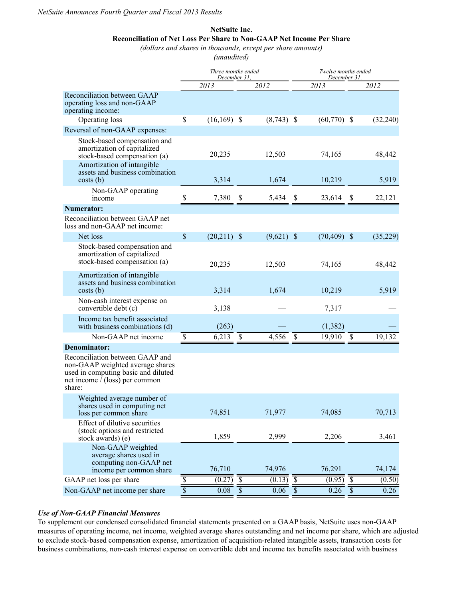### **NetSuite Inc. Reconciliation of Net Loss Per Share to Non-GAAP Net Income Per Share**

*(dollars and shares in thousands, except per share amounts)*

*(unaudited)*

|                                                                                                                                                        | Three months ended<br>December 31, |               |                          | Twelve months ended<br>December 31, |                          |                |                         |           |  |
|--------------------------------------------------------------------------------------------------------------------------------------------------------|------------------------------------|---------------|--------------------------|-------------------------------------|--------------------------|----------------|-------------------------|-----------|--|
|                                                                                                                                                        |                                    | 2013          |                          | 2012                                | 2013                     |                |                         | 2012      |  |
| Reconciliation between GAAP<br>operating loss and non-GAAP<br>operating income:                                                                        |                                    |               |                          |                                     |                          |                |                         |           |  |
| Operating loss                                                                                                                                         | $\mathsf{\$}$                      | $(16,169)$ \$ |                          | $(8,743)$ \$                        |                          | $(60,770)$ \$  |                         | (32, 240) |  |
| Reversal of non-GAAP expenses:                                                                                                                         |                                    |               |                          |                                     |                          |                |                         |           |  |
| Stock-based compensation and<br>amortization of capitalized<br>stock-based compensation (a)                                                            |                                    | 20,235        |                          | 12,503                              |                          | 74,165         |                         | 48,442    |  |
| Amortization of intangible<br>assets and business combination<br>costs(b)                                                                              |                                    | 3,314         |                          | 1,674                               |                          | 10,219         |                         | 5,919     |  |
| Non-GAAP operating<br>income                                                                                                                           | S                                  | 7,380         | S                        | 5,434                               |                          | 23,614         | S                       | 22,121    |  |
| <b>Numerator:</b>                                                                                                                                      |                                    |               |                          |                                     |                          |                |                         |           |  |
| Reconciliation between GAAP net<br>loss and non-GAAP net income:                                                                                       |                                    |               |                          |                                     |                          |                |                         |           |  |
| Net loss                                                                                                                                               | \$                                 | $(20,211)$ \$ |                          | $(9,621)$ \$                        |                          | $(70, 409)$ \$ |                         | (35,229)  |  |
| Stock-based compensation and<br>amortization of capitalized<br>stock-based compensation (a)                                                            |                                    | 20,235        |                          | 12,503                              |                          | 74,165         |                         | 48,442    |  |
| Amortization of intangible<br>assets and business combination<br>costs(b)                                                                              |                                    | 3,314         |                          | 1,674                               |                          | 10,219         |                         | 5,919     |  |
| Non-cash interest expense on<br>convertible debt (c)                                                                                                   |                                    | 3,138         |                          |                                     |                          | 7,317          |                         |           |  |
| Income tax benefit associated<br>with business combinations (d)                                                                                        |                                    | (263)         |                          |                                     |                          | (1,382)        |                         |           |  |
| Non-GAAP net income                                                                                                                                    | \$                                 | 6,213         | \$                       | 4,556                               | \$                       | 19,910         | \$                      | 19,132    |  |
| Denominator:                                                                                                                                           |                                    |               |                          |                                     |                          |                |                         |           |  |
| Reconciliation between GAAP and<br>non-GAAP weighted average shares<br>used in computing basic and diluted<br>net income / (loss) per common<br>share: |                                    |               |                          |                                     |                          |                |                         |           |  |
| Weighted average number of<br>shares used in computing net<br>loss per common share                                                                    |                                    | 74,851        |                          | 71,977                              |                          | 74,085         |                         | 70,713    |  |
| Effect of dilutive securities<br>(stock options and restricted<br>stock awards) (e)                                                                    |                                    | 1,859         |                          | 2,999                               |                          | 2,206          |                         | 3,461     |  |
| Non-GAAP weighted<br>average shares used in<br>computing non-GAAP net<br>income per common share                                                       |                                    | 76,710        |                          | 74,976                              |                          | 76,291         |                         | 74,174    |  |
| GAAP net loss per share                                                                                                                                | $\overline{\mathcal{S}}$           | (0.27)        | $\overline{\mathcal{S}}$ | (0.13)                              | $\overline{\mathcal{S}}$ | (0.95)         | \$                      | (0.50)    |  |
| Non-GAAP net income per share                                                                                                                          | $\overline{\$}$                    | 0.08          | $\overline{\mathcal{S}}$ | 0.06                                | $\overline{\mathcal{S}}$ | 0.26           | $\overline{\mathbb{S}}$ | 0.26      |  |
|                                                                                                                                                        |                                    |               |                          |                                     |                          |                |                         |           |  |

### *Use of Non-GAAP Financial Measures*

To supplement our condensed consolidated financial statements presented on a GAAP basis, NetSuite uses non-GAAP measures of operating income, net income, weighted average shares outstanding and net income per share, which are adjusted to exclude stock-based compensation expense, amortization of acquisition-related intangible assets, transaction costs for business combinations, non-cash interest expense on convertible debt and income tax benefits associated with business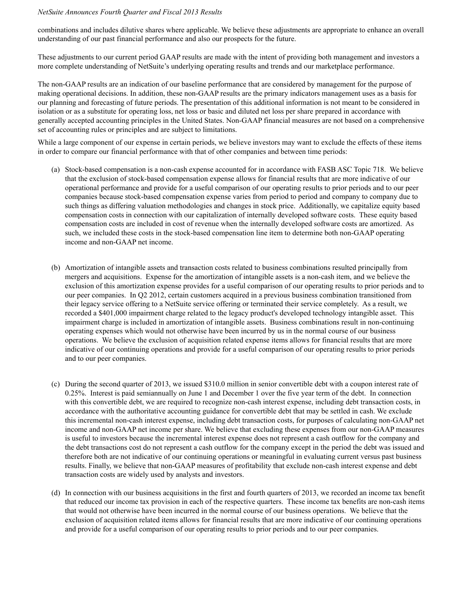#### *NetSuite Announces Fourth Quarter and Fiscal 2013 Results*

combinations and includes dilutive shares where applicable. We believe these adjustments are appropriate to enhance an overall understanding of our past financial performance and also our prospects for the future.

These adjustments to our current period GAAP results are made with the intent of providing both management and investors a more complete understanding of NetSuite's underlying operating results and trends and our marketplace performance.

The non-GAAP results are an indication of our baseline performance that are considered by management for the purpose of making operational decisions. In addition, these non-GAAP results are the primary indicators management uses as a basis for our planning and forecasting of future periods. The presentation of this additional information is not meant to be considered in isolation or as a substitute for operating loss, net loss or basic and diluted net loss per share prepared in accordance with generally accepted accounting principles in the United States. Non-GAAP financial measures are not based on a comprehensive set of accounting rules or principles and are subject to limitations.

While a large component of our expense in certain periods, we believe investors may want to exclude the effects of these items in order to compare our financial performance with that of other companies and between time periods:

- (a) Stock-based compensation is a non-cash expense accounted for in accordance with FASB ASC Topic 718. We believe that the exclusion of stock-based compensation expense allows for financial results that are more indicative of our operational performance and provide for a useful comparison of our operating results to prior periods and to our peer companies because stock-based compensation expense varies from period to period and company to company due to such things as differing valuation methodologies and changes in stock price. Additionally, we capitalize equity based compensation costs in connection with our capitalization of internally developed software costs. These equity based compensation costs are included in cost of revenue when the internally developed software costs are amortized. As such, we included these costs in the stock-based compensation line item to determine both non-GAAP operating income and non-GAAP net income.
- (b) Amortization of intangible assets and transaction costs related to business combinations resulted principally from mergers and acquisitions. Expense for the amortization of intangible assets is a non-cash item, and we believe the exclusion of this amortization expense provides for a useful comparison of our operating results to prior periods and to our peer companies. In Q2 2012, certain customers acquired in a previous business combination transitioned from their legacy service offering to a NetSuite service offering or terminated their service completely. As a result, we recorded a \$401,000 impairment charge related to the legacy product's developed technology intangible asset. This impairment charge is included in amortization of intangible assets. Business combinations result in non-continuing operating expenses which would not otherwise have been incurred by us in the normal course of our business operations. We believe the exclusion of acquisition related expense items allows for financial results that are more indicative of our continuing operations and provide for a useful comparison of our operating results to prior periods and to our peer companies.
- (c) During the second quarter of 2013, we issued \$310.0 million in senior convertible debt with a coupon interest rate of 0.25%. Interest is paid semiannually on June 1 and December 1 over the five year term of the debt. In connection with this convertible debt, we are required to recognize non-cash interest expense, including debt transaction costs, in accordance with the authoritative accounting guidance for convertible debt that may be settled in cash. We exclude this incremental non-cash interest expense, including debt transaction costs, for purposes of calculating non-GAAP net income and non-GAAP net income per share. We believe that excluding these expenses from our non-GAAP measures is useful to investors because the incremental interest expense does not represent a cash outflow for the company and the debt transactions cost do not represent a cash outflow for the company except in the period the debt was issued and therefore both are not indicative of our continuing operations or meaningful in evaluating current versus past business results. Finally, we believe that non-GAAP measures of profitability that exclude non-cash interest expense and debt transaction costs are widely used by analysts and investors.
- (d) In connection with our business acquisitions in the first and fourth quarters of 2013, we recorded an income tax benefit that reduced our income tax provision in each of the respective quarters. These income tax benefits are non-cash items that would not otherwise have been incurred in the normal course of our business operations. We believe that the exclusion of acquisition related items allows for financial results that are more indicative of our continuing operations and provide for a useful comparison of our operating results to prior periods and to our peer companies.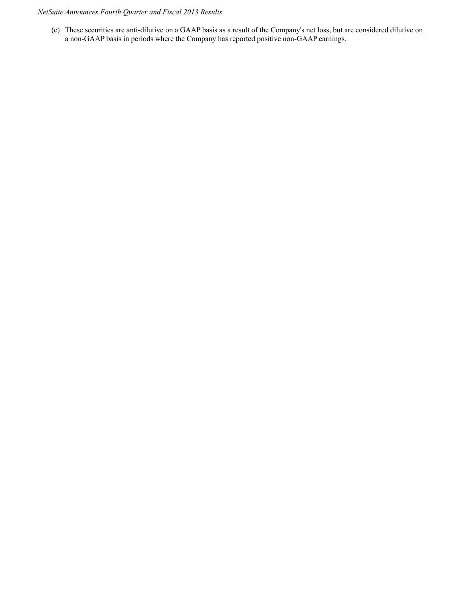### *NetSuite Announces Fourth Quarter and Fiscal 2013 Results*

(e) These securities are anti-dilutive on a GAAP basis as a result of the Company's net loss, but are considered dilutive on a non-GAAP basis in periods where the Company has reported positive non-GAAP earnings.